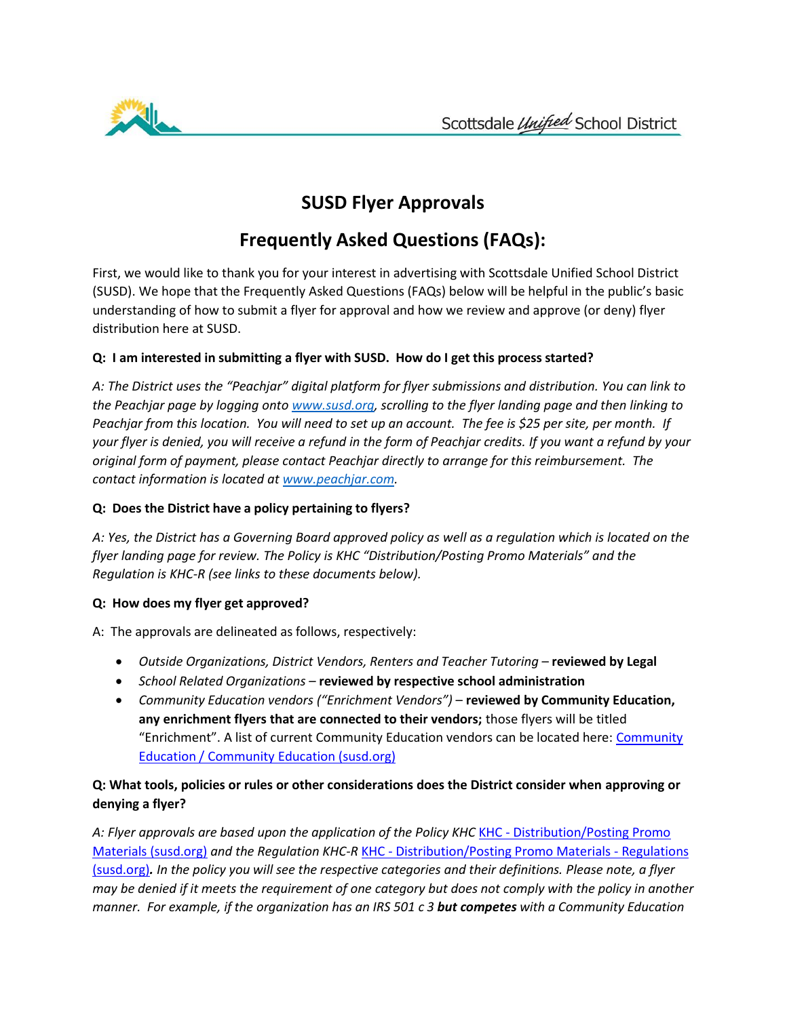

## **SUSD Flyer Approvals**

# **Frequently Asked Questions (FAQs):**

First, we would like to thank you for your interest in advertising with Scottsdale Unified School District (SUSD). We hope that the Frequently Asked Questions (FAQs) below will be helpful in the public's basic understanding of how to submit a flyer for approval and how we review and approve (or deny) flyer distribution here at SUSD.

## **Q: I am interested in submitting a flyer with SUSD. How do I get this process started?**

*A: The District uses the "Peachjar" digital platform for flyer submissions and distribution. You can link to the Peachjar page by logging onto [www.susd.org, s](http://www.susd.org/)crolling to the flyer landing page and then linking to Peachjar from this location. You will need to set up an account. The fee is \$25 per site, per month. If your flyer is denied, you will receive a refund in the form of Peachjar credits. If you want a refund by your original form of payment, please contact Peachjar directly to arrange for this reimbursement. The contact information is located at [www.peachjar.com.](http://www.peachjar.com/)*

## **Q: Does the District have a policy pertaining to flyers?**

*A: Yes, the District has a Governing Board approved policy as well as a regulation which is located on the flyer landing page for review. The Policy is KHC "Distribution/Posting Promo Materials" and the Regulation is KHC-R (see links to these documents below).*

#### **Q: How does my flyer get approved?**

A: The approvals are delineated as follows, respectively:

- *Outside Organizations, District Vendors, Renters and Teacher Tutoring* **reviewed by Legal**
- *School Related Organizations* **reviewed by respective school administration**
- *Community Education vendors ("Enrichment Vendors")*  **reviewed by Community Education, any enrichment flyers that are connected to their vendors;** those flyers will be titled "Enrichment". A list of current Community Education vendors can be located here: [Community](https://www.susd.org/Domain/3272) Education / [Community](https://www.susd.org/Domain/3272) Education (susd.org)

## **Q: What tools, policies or rules or other considerations does the District consider when approving or denying a flyer?**

A: Flyer approvals are based upon the application of the Policy KHC KHC - [Distribution/Posting Promo](https://www.susd.org/site/handlers/filedownload.ashx?moduleinstanceid=464&dataid=365&FileName=KHC_Distribution_Promo_Materials.pdf) [Materials \(susd.org\)](https://www.susd.org/site/handlers/filedownload.ashx?moduleinstanceid=464&dataid=365&FileName=KHC_Distribution_Promo_Materials.pdf) *and the Regulation KHC-R* KHC - [Distribution/Posting Promo Materials -](https://www.susd.org/site/handlers/filedownload.ashx?moduleinstanceid=464&dataid=366&FileName=KHCR-Distribution_Promo_Materials_Regulations.pdf) Regulations [\(susd.org\)](https://www.susd.org/site/handlers/filedownload.ashx?moduleinstanceid=464&dataid=366&FileName=KHCR-Distribution_Promo_Materials_Regulations.pdf)*. In the policy you will see the respective categories and their definitions. Please note, a flyer may be denied if it meets the requirement of one category but does not comply with the policy in another manner. For example, if the organization has an IRS 501 c 3 but competes with a Community Education*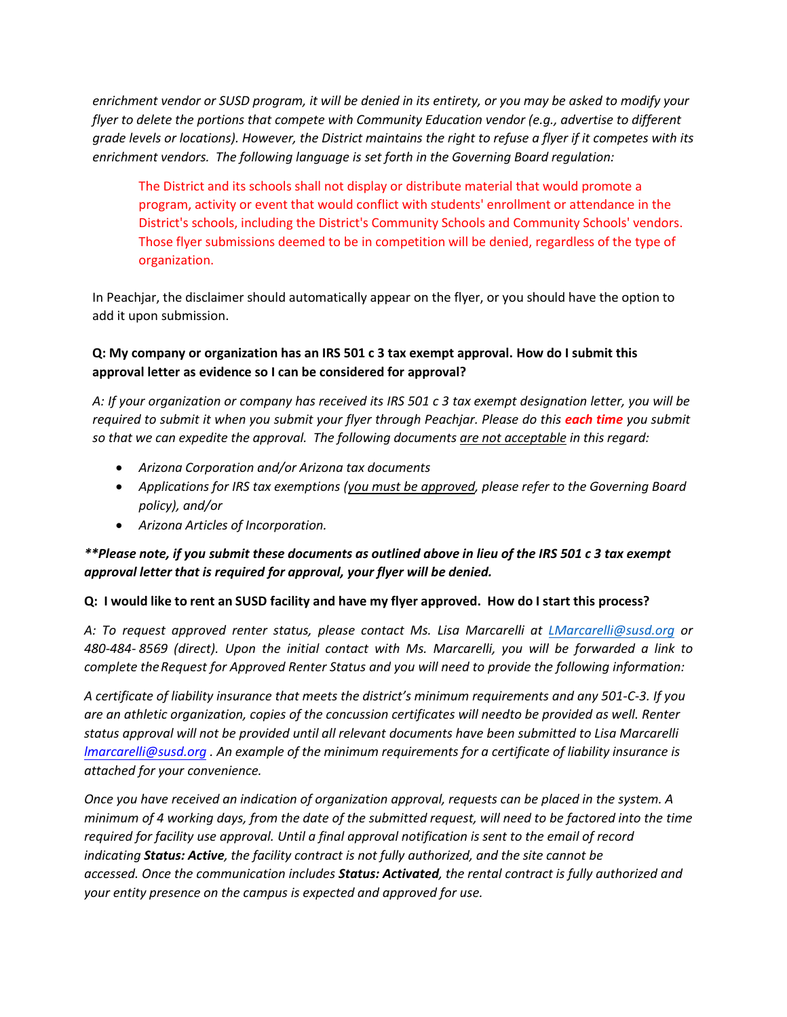*enrichment vendor or SUSD program, it will be denied in its entirety, or you may be asked to modify your flyer to delete the portions that compete with Community Education vendor (e.g., advertise to different grade levels or locations). However, the District maintains the right to refuse a flyer if it competes with its enrichment vendors. The following language is set forth in the Governing Board regulation:*

The District and its schools shall not display or distribute material that would promote a program, activity or event that would conflict with students' enrollment or attendance in the District's schools, including the District's Community Schools and Community Schools' vendors. Those flyer submissions deemed to be in competition will be denied, regardless of the type of organization.

In Peachjar, the disclaimer should automatically appear on the flyer, or you should have the option to add it upon submission.

## **Q: My company or organization has an IRS 501 c 3 tax exempt approval. How do I submit this approval letter as evidence so I can be considered for approval?**

*A: If your organization or company has received its IRS 501 c 3 tax exempt designation letter, you will be required to submit it when you submit your flyer through Peachjar. Please do this each time you submit so that we can expedite the approval. The following documents are not acceptable in this regard:*

- *Arizona Corporation and/or Arizona tax documents*
- *Applications for IRS tax exemptions (you must be approved, please refer to the Governing Board policy), and/or*
- *Arizona Articles of Incorporation.*

### *\*\*Please note, if you submit these documents as outlined above in lieu of the IRS 501 c 3 tax exempt approval letter that is required for approval, your flyer will be denied.*

#### **Q: I would like to rent an SUSD facility and have my flyer approved. How do I start this process?**

*A: To request approved renter status, please contact Ms. Lisa Marcar[elli at LMarcarelli@susd](mailto:LMarcarelli@susd.org).org or 480-484- 8569 (direct). Upon the initial contact with Ms. Marcarelli, you will be forwarded a link to complete the Request for Approved Renter Status and you will need to provide the following information:*

*A certificate of liability insurance that meets the district's minimum requirements and any 501-C-3. If you are an athletic organization, copies of the concussion certificates will need to be provided as well. Renter status approval will not be provided until all relevant documents have been submitted to Lisa Marcarelli [lmarcarelli@susd.org](mailto:lmarcarelli@susd.org) . An example of the minimum requirements for a certificate of liability insurance is attached for your convenience.* 

*Once you have received an indication of organization approval, requests can be placed in the system. A minimum of 4 working days, from the date of the submitted request, will need to be factored into the time required for facility use approval. Until a final approval notification is sent to the email of record indicating Status: Active, the facility contract is not fully authorized, and the site cannot be accessed. Once the communication includes Status: Activated, the rental contract is fully authorized and your entity presence on the campus is expected and approved for use.*